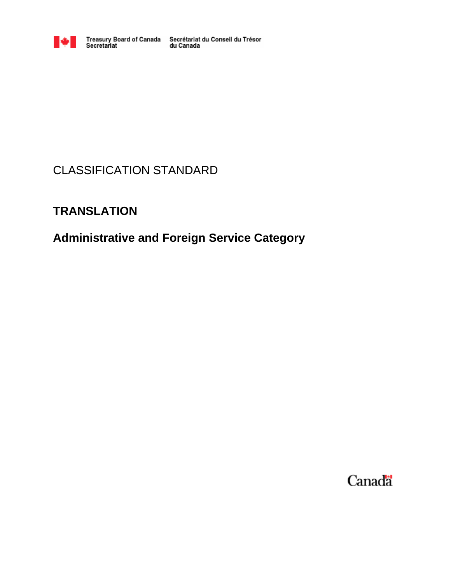

# CLASSIFICATION STANDARD

# **TRANSLATION**

# **Administrative and Foreign Service Category**

Canada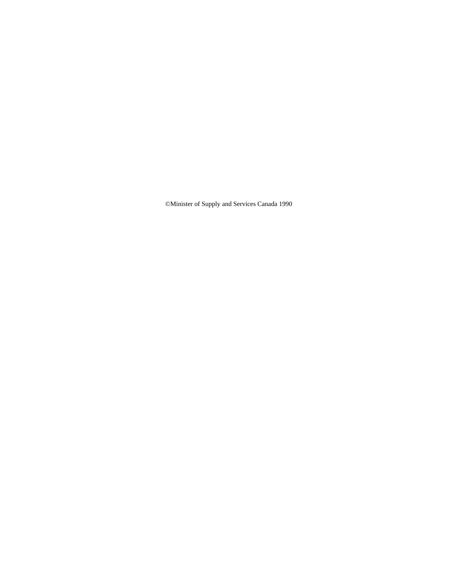©Minister of Supply and Services Canada 1990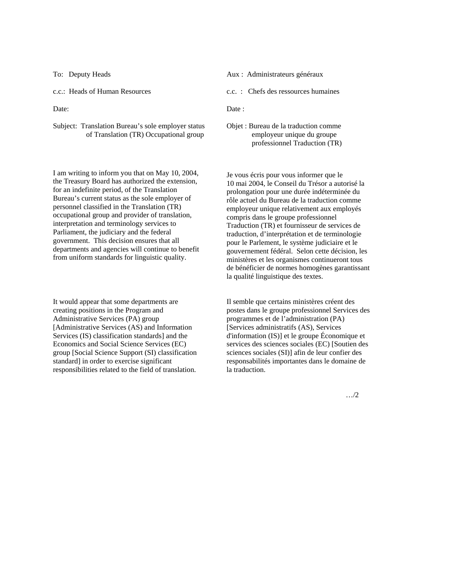Subject: Translation Bureau's sole employer status of Translation (TR) Occupational group

I am writing to inform you that on May 10, 2004, the Treasury Board has authorized the extension, for an indefinite period, of the Translation Bureau's current status as the sole employer of personnel classified in the Translation (TR) occupational group and provider of translation, interpretation and terminology services to Parliament, the judiciary and the federal government. This decision ensures that all departments and agencies will continue to benefit from uniform standards for linguistic quality.

It would appear that some departments are creating positions in the Program and Administrative Services (PA) group [Administrative Services (AS) and Information Services (IS) classification standards] and the Economics and Social Science Services (EC) group [Social Science Support (SI) classification standard] in order to exercise significant responsibilities related to the field of translation.

- To: Deputy Heads **Aux** : Administrateurs généraux
- c.c.: Heads of Human Resources c.c. : Chefs des ressources humaines

Date: Date:

Objet : Bureau de la traduction comme employeur unique du groupe professionnel Traduction (TR)

Je vous écris pour vous informer que le 10 mai 2004, le Conseil du Trésor a autorisé la prolongation pour une durée indéterminée du rôle actuel du Bureau de la traduction comme employeur unique relativement aux employés compris dans le groupe professionnel Traduction (TR) et fournisseur de services de traduction, d'interprétation et de terminologie pour le Parlement, le système judiciaire et le gouvernement fédéral. Selon cette décision, les ministères et les organismes continueront tous de bénéficier de normes homogènes garantissant la qualité linguistique des textes.

Il semble que certains ministères créent des postes dans le groupe professionnel Services des programmes et de l'administration (PA) [Services administratifs (AS), Services d'information (IS)] et le groupe Économique et services des sciences sociales (EC) [Soutien des sciences sociales (SI)] afin de leur confier des responsabilités importantes dans le domaine de la traduction.

…/2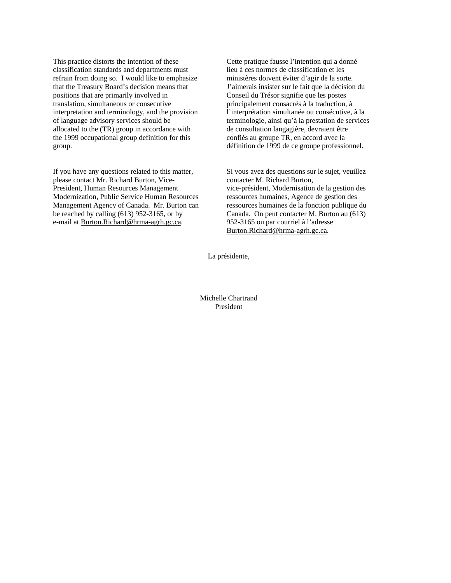This practice distorts the intention of these classification standards and departments must refrain from doing so. I would like to emphasize that the Treasury Board's decision means that positions that are primarily involved in translation, simultaneous or consecutive interpretation and terminology, and the provision of language advisory services should be allocated to the (TR) group in accordance with the 1999 occupational group definition for this group.

If you have any questions related to this matter, please contact Mr. Richard Burton, Vice-President, Human Resources Management Modernization, Public Service Human Resources Management Agency of Canada. Mr. Burton can be reached by calling (613) 952-3165, or by e-mail at Burton.Richard@hrma-agrh.gc.ca.

Cette pratique fausse l'intention qui a donné lieu à ces normes de classification et les ministères doivent éviter d'agir de la sorte. J'aimerais insister sur le fait que la décision du Conseil du Trésor signifie que les postes principalement consacrés à la traduction, à l'interprétation simultanée ou consécutive, à la terminologie, ainsi qu'à la prestation de services de consultation langagière, devraient être confiés au groupe TR, en accord avec la définition de 1999 de ce groupe professionnel.

Si vous avez des questions sur le sujet, veuillez contacter M. Richard Burton, vice-président, Modernisation de la gestion des ressources humaines, Agence de gestion des ressources humaines de la fonction publique du Canada. On peut contacter M. Burton au (613) 952-3165 ou par courriel à l'adresse Burton.Richard@hrma-agrh.gc.ca.

La présidente,

Michelle Chartrand President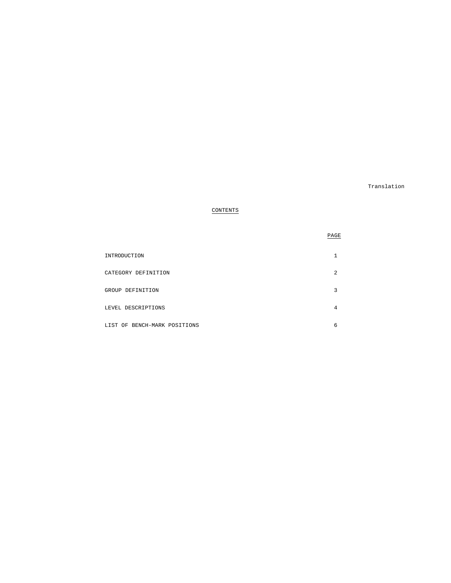Translation

PAGE

# CONTENTS

| INTRODUCTION                 |   |
|------------------------------|---|
| CATEGORY DEFINITION          | 2 |
| GROUP DEFINITION             |   |
| LEVEL DESCRIPTIONS           | 4 |
| LIST OF BENCH-MARK POSITIONS | 6 |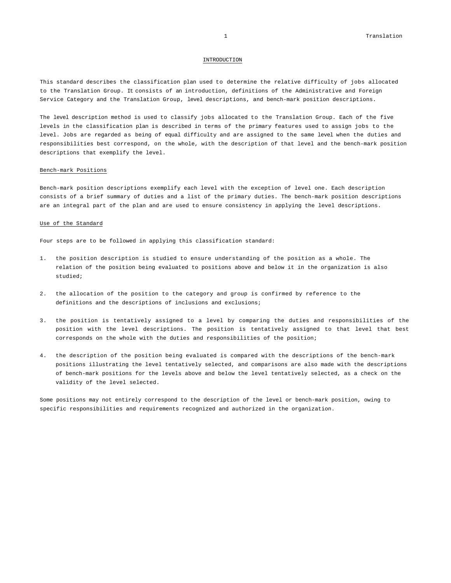#### INTRODUCTION

This standard describes the classification plan used to determine the relative difficulty of jobs allocated to the Translation Group. It consists of an introduction, definitions of the Administrative and Foreign Service Category and the Translation Group, level descriptions, and bench-mark position descriptions.

The level description method is used to classify jobs allocated to the Translation Group. Each of the five levels in the classification plan is described in terms of the primary features used to assign jobs to the level. Jobs are regarded as being of equal difficulty and are assigned to the same level when the duties and responsibilities best correspond, on the whole, with the description of that level and the bench-mark position descriptions that exemplify the level.

#### Bench-mark Positions

Bench-mark position descriptions exemplify each level with the exception of level one. Each description consists of a brief summary of duties and a list of the primary duties. The bench-mark position descriptions are an integral part of the plan and are used to ensure consistency in applying the level descriptions.

#### Use of the Standard

Four steps are to be followed in applying this classification standard:

- 1. the position description is studied to ensure understanding of the position as a whole. The relation of the position being evaluated to positions above and below it in the organization is also studied;
- 2. the allocation of the position to the category and group is confirmed by reference to the definitions and the descriptions of inclusions and exclusions;
- 3. the position is tentatively assigned to a level by comparing the duties and responsibilities of the position with the level descriptions. The position is tentatively assigned to that level that best corresponds on the whole with the duties and responsibilities of the position;
- 4. the description of the position being evaluated is compared with the descriptions of the bench-mark positions illustrating the level tentatively selected, and comparisons are also made with the descriptions of bench-mark positions for the levels above and below the level tentatively selected, as a check on the validity of the level selected.

Some positions may not entirely correspond to the description of the level or bench-mark position, owing to specific responsibilities and requirements recognized and authorized in the organization.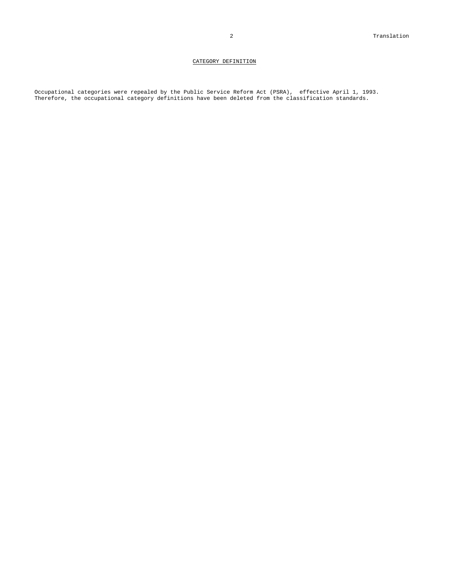# CATEGORY DEFINITION

Occupational categories were repealed by the Public Service Reform Act (PSRA), effective April 1, 1993. Therefore, the occupational category definitions have been deleted from the classification standards.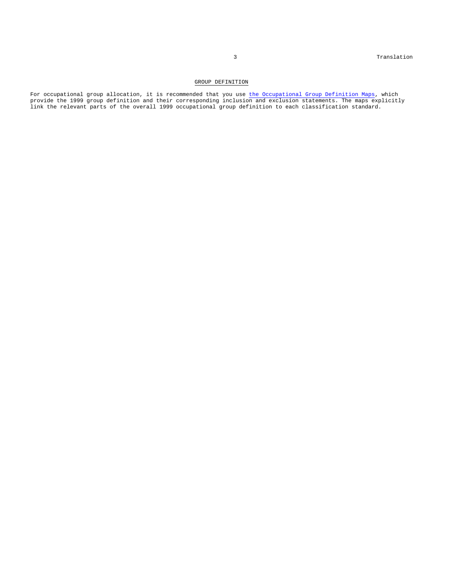## GROUP DEFINITION

For occupational group allocation, it is recommended that you use the Occupational Group Definition Maps, which provide the 1999 group definition and their corresponding inclusion and exclusion statements. The maps explicitly link the relevant parts of the overall 1999 occupational group definition to each classification standard.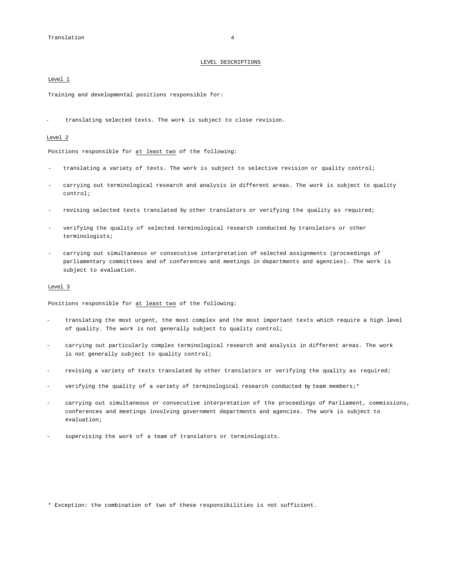#### LEVEL DESCRIPTIONS

#### Level 1

Training and developmental positions responsible for:

- translating selected texts. The work is subject to close revision.

#### Level 2

Positions responsible for at least two of the following:

- translating a variety of texts. The work is subject to selective revision or quality control;
- carrying out terminological research and analysis in different areas. The work is subject to quality control;
- revising selected texts translated by other translators or verifying the quality as required;
- verifying the quality of selected terminological research conducted by translators or other terminologists;
- carrying out simultaneous or consecutive interpretation of selected assignments (proceedings of parliamentary committees and of conferences and meetings in departments and agencies). The work is subject to evaluation.

#### Level 3

Positions responsible for at least two of the following:

- translating the most urgent, the most complex and the most important texts which require a high level of quality. The work is not generally subject to quality control;
- carrying out particularly complex terminological research and analysis in different areas. The work is not generally subject to quality control;
- revising a variety of texts translated by other translators or verifying the quality as required;
- verifying the quality of a variety of terminological research conducted by team members;\*
- carrying out simultaneous or consecutive interpretation of the proceedings of Parliament, commissions, conferences and meetings involving government departments and agencies. The work is subject to evaluation;
- supervising the work of a team of translators or terminologists.

\* Exception: the combination of two of these responsibilities is not sufficient.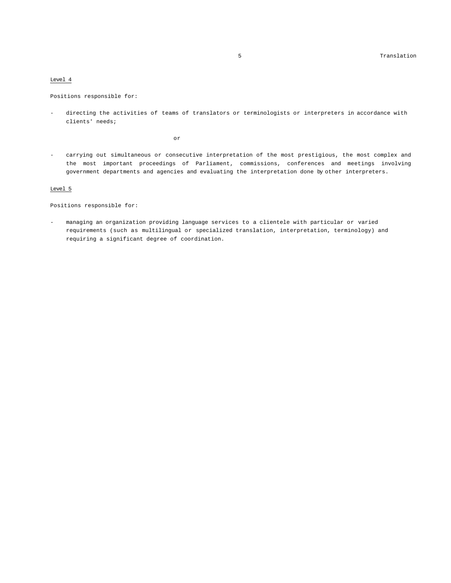#### Level 4

Positions responsible for:

directing the activities of teams of translators or terminologists or interpreters in accordance with clients' needs;

or

- carrying out simultaneous or consecutive interpretation of the most prestigious, the most complex and the most important proceedings of Parliament, commissions, conferences and meetings involving government departments and agencies and evaluating the interpretation done by other interpreters.

# Level 5

Positions responsible for:

- managing an organization providing language services to a clientele with particular or varied requirements (such as multilingual or specialized translation, interpretation, terminology) and requiring a significant degree of coordination.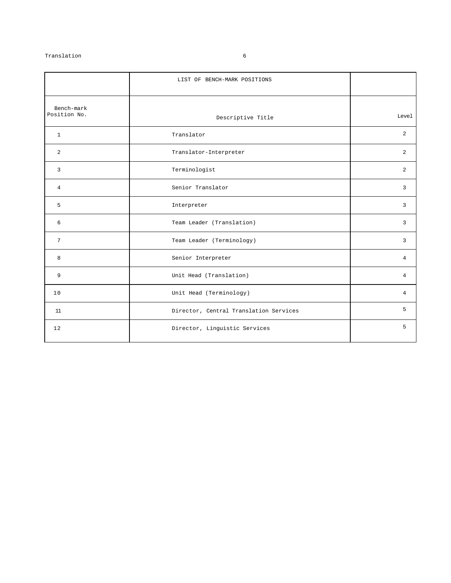# Translation 6

|                            | LIST OF BENCH-MARK POSITIONS           |                |
|----------------------------|----------------------------------------|----------------|
| Bench-mark<br>Position No. | Descriptive Title                      | Level          |
| $\mathbf{1}$               | Translator                             | 2              |
| 2                          | Translator-Interpreter                 | 2              |
| 3                          | Terminologist                          | 2              |
| $\overline{4}$             | Senior Translator                      | 3              |
| 5                          | Interpreter                            | 3              |
| 6                          | Team Leader (Translation)              | 3              |
| 7                          | Team Leader (Terminology)              | 3              |
| 8                          | Senior Interpreter                     | $\overline{4}$ |
| 9                          | Unit Head (Translation)                | $\overline{4}$ |
| 10                         | Unit Head (Terminology)                | 4              |
| 11                         | Director, Central Translation Services | 5              |
| 12                         | Director, Linguistic Services          | 5              |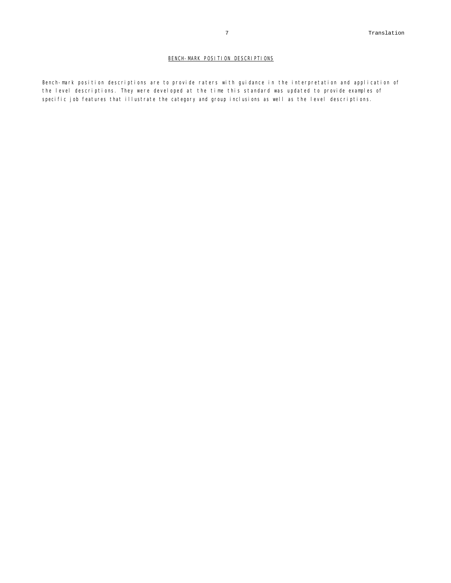Bench-mark position descriptions are to provide raters with guidance in the interpretation and application of the level descriptions. They were developed at the time this standard was updated to provide examples of specific job features that illustrate the category and group inclusions as well as the level descriptions.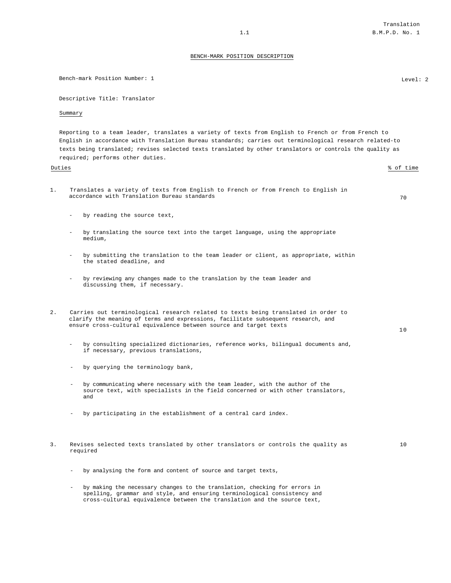Bench-mark Position Number: 1 Level: 2

Descriptive Title: Translator Summary Reporting to a team leader, translates a variety of texts from English to French or from French to English in accordance with Translation Bureau standards; carries out terminological research related-to texts being translated; revises selected texts translated by other translators or controls the quality as required; performs other duties. Duties % of time 1. Translates a variety of texts from English to French or from French to English in accordance with Translation Bureau standards and the standards of the standard of  $70$ - by reading the source text, by translating the source text into the target language, using the appropriate medium, - by submitting the translation to the team leader or client, as appropriate, within the stated deadline, and by reviewing any changes made to the translation by the team leader and discussing them, if necessary. 2. Carries out terminological research related to texts being translated in order to clarify the meaning of terms and expressions, facilitate subsequent research, and ensure cross-cultural equivalence between source and target texts 10 by consulting specialized dictionaries, reference works, bilingual documents and, if necessary, previous translations, - by querying the terminology bank, - by communicating where necessary with the team leader, with the author of the source text, with specialists in the field concerned or with other translators, and - by participating in the establishment of a central card index. 3. Revises selected texts translated by other translators or controls the quality as required 10 - by analysing the form and content of source and target texts,

by making the necessary changes to the translation, checking for errors in spelling, grammar and style, and ensuring terminological consistency and cross-cultural equivalence between the translation and the source text,

## Translation 1.1 **B.M.P.D. No. 1**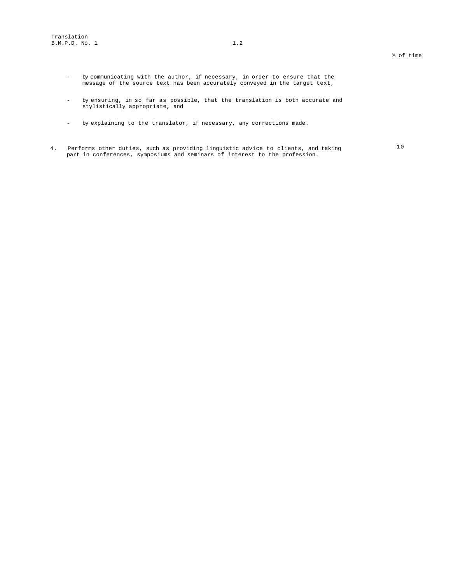- by communicating with the author, if necessary, in order to ensure that the message of the source text has been accurately conveyed in the target text,
- by ensuring, in so far as possible, that the translation is both accurate and stylistically appropriate, and
- by explaining to the translator, if necessary, any corrections made.
- 4. Performs other duties, such as providing linguistic advice to clients, and taking part in conferences, symposiums and seminars of interest to the profession.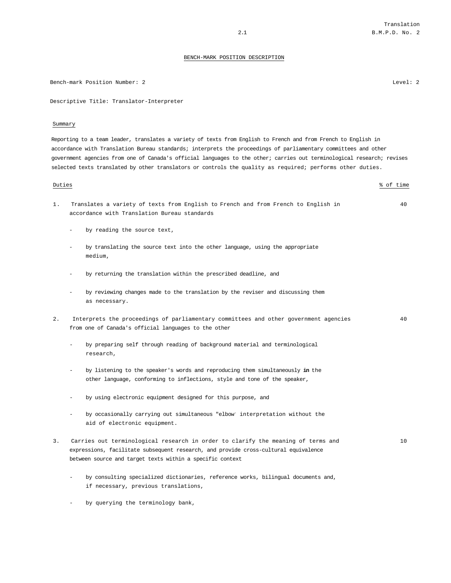Bench-mark Position Number: 2 Level: 2

Descriptive Title: Translator-Interpreter

#### Summary

Reporting to a team leader, translates a variety of texts from English to French and from French to English in accordance with Translation Bureau standards; interprets the proceedings of parliamentary committees and other government agencies from one of Canada's official languages to the other; carries out terminological research; revises selected texts translated by other translators or controls the quality as required; performs other duties.

#### Duties % of time

- 1. Translates a variety of texts from English to French and from French to English in accordance with Translation Bureau standards
	- by reading the source text,
	- by translating the source text into the other language, using the appropriate medium,
	- by returning the translation within the prescribed deadline, and
	- by reviewing changes made to the translation by the reviser and discussing them as necessary.
- 2. Interprets the proceedings of parliamentary committees and other government agencies from one of Canada's official languages to the other
	- by preparing self through reading of background material and terminological research,
	- by listening to the speaker's words and reproducing them simultaneously **in** the other language, conforming to inflections, style and tone of the speaker,
	- by using electronic equipment designed for this purpose, and
	- by occasionally carrying out simultaneous "elbow" interpretation without the aid of electronic equipment.
- Carries out terminological research in order to clarify the meaning of terms and expressions, facilitate subsequent research, and provide cross-cultural equivalence between source and target texts within a specific context
	- by consulting specialized dictionaries, reference works, bilingual documents and, if necessary, previous translations,
	- by querying the terminology bank,

40

40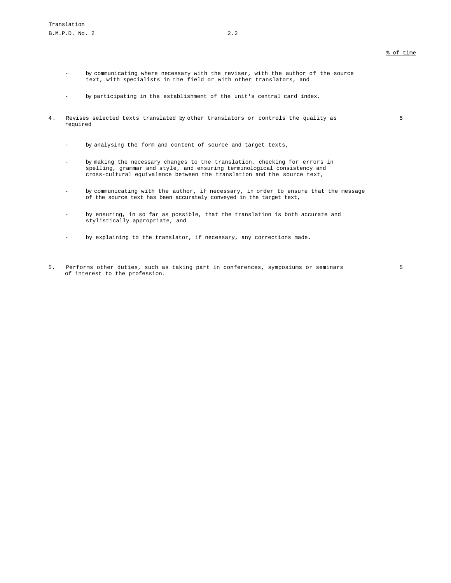5

- by communicating where necessary with the reviser, with the author of the source text, with specialists in the field or with other translators, and
- by participating in the establishment of the unit's central card index.
- 4. Revises selected texts translated by other translators or controls the quality as required
	- by analysing the form and content of source and target texts,
	- by making the necessary changes to the translation, checking for errors in spelling, grammar and style, and ensuring terminological consistency and cross-cultural equivalence between the translation and the source text,
	- by communicating with the author, if necessary, in order to ensure that the message of the source text has been accurately conveyed in the target text,
	- by ensuring, in so far as possible, that the translation is both accurate and stylistically appropriate, and
	- by explaining to the translator, if necessary, any corrections made.
- 5. Performs other duties, such as taking part in conferences, symposiums or seminars of interest to the profession.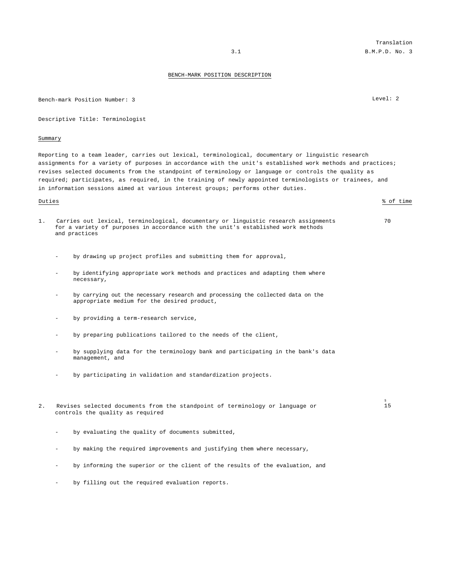Bench-mark Position Number: 3 Level: 2

Descriptive Title: Terminologist

#### Summary

Reporting to a team leader, carries out lexical, terminological, documentary or linguistic research assignments for a variety of purposes in accordance with the unit's established work methods and practices; revises selected documents from the standpoint of terminology or language or controls the quality as required; participates, as required, in the training of newly appointed terminologists or trainees, and in information sessions aimed at various interest groups; performs other duties.

#### Duties % of time

- 1. Carries out lexical, terminological, documentary or linguistic research assignments for a variety of purposes in accordance with the unit's established work methods and practices
	- by drawing up project profiles and submitting them for approval,
	- by identifying appropriate work methods and practices and adapting them where necessary,
	- by carrying out the necessary research and processing the collected data on the appropriate medium for the desired product,
	- by providing a term-research service,
	- by preparing publications tailored to the needs of the client,
	- by supplying data for the terminology bank and participating in the bank's data management, and
	- by participating in validation and standardization projects.
- 2. Revises selected documents from the standpoint of terminology or language or controls the quality as required
	- by evaluating the quality of documents submitted,
	- by making the required improvements and justifying them where necessary,
	- by informing the superior or the client of the results of the evaluation, and
	- by filling out the required evaluation reports.

#### 70

s<br>15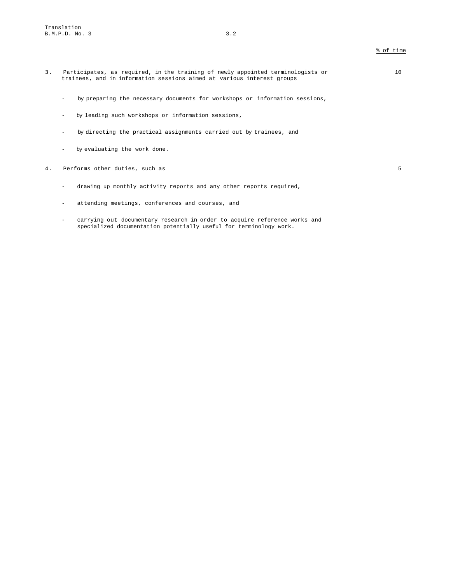- 3. Participates, as required, in the training of newly appointed terminologists or trainees, and in information sessions aimed at various interest groups
	- by preparing the necessary documents for workshops or information sessions,
	- by leading such workshops or information sessions,
	- by directing the practical assignments carried out by trainees, and
	- by evaluating the work done.
- 4. Performs other duties, such as 5
	- drawing up monthly activity reports and any other reports required,
	- attending meetings, conferences and courses, and
	- carrying out documentary research in order to acquire reference works and specialized documentation potentially useful for terminology work.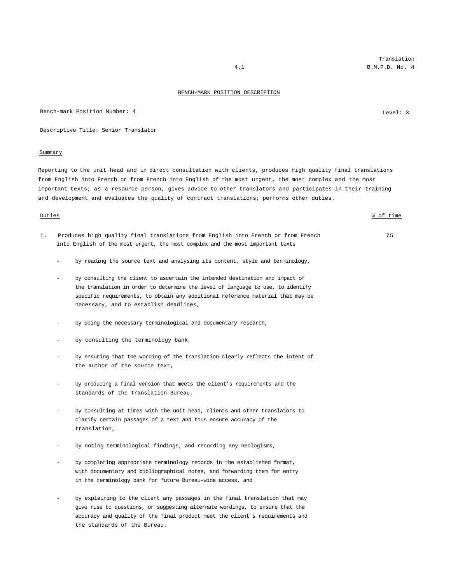Bench-mark Position Number: 4 Level: 3

Descriptive Title: Senior Translator

#### Summary

Reporting to the unit head and in direct consultation with clients, produces high quality final translations from English into French or from French into English of the most urgent, the most complex and the most important texts; as a resource person, gives advice to other translators and participates in their training and development and evaluates the quality of contract translations; performs other duties.

#### Duties % of time

- 1. Produces high quality final translations from English into French or from French into English of the most urgent, the most complex and the most important texts
	- by reading the source text and analysing its content, style and terminology,
	- by consulting the client to ascertain the intended destination and impact of the translation in order to determine the level of language to use, to identify specific requirements, to obtain any additional reference material that may be necessary, and to establish deadlines,
	- by doing the necessary terminological and documentary research,
	- by consulting the terminology bank,
	- by ensuring that the wording of the translation clearly reflects the intent of the author of the source text,
	- by producing a final version that meets the client's requirements and the standards of the Translation Bureau,
	- by consulting at times with the unit head, clients and other translators to clarify certain passages of a text and thus ensure accuracy of the translation,
	- by noting terminological findings, and recording any neologisms,
	- by completing appropriate terminology records in the established format, with documentary and bibliographical notes, and forwarding them for entry in the terminology bank for future Bureau-wide access, and
	- by explaining to the client any passages in the final translation that may give rise to questions, or suggesting alternate wordings, to ensure that the accuracy and quality of the final product meet the client's requirements and the standards of the Bureau.

Translation 4.1 B.M.P.D. No. 4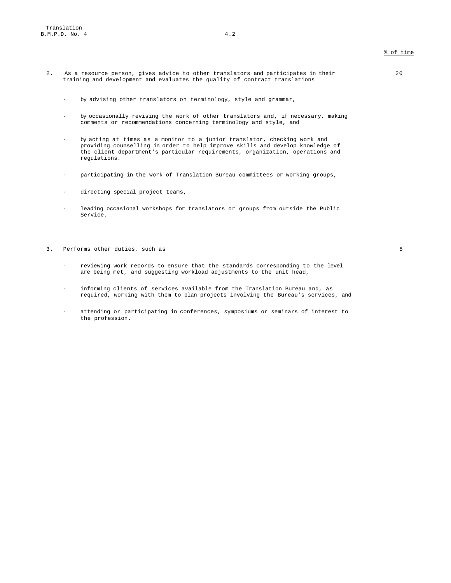- 2. As a resource person, gives advice to other translators and participates in their training and development and evaluates the quality of contract translations
	- by advising other translators on terminology, style and grammar,
	- by occasionally revising the work of other translators and, if necessary, making comments or recommendations concerning terminology and style, and
	- by acting at times as a monitor to a junior translator, checking work and providing counselling in order to help improve skills and develop knowledge of the client department's particular requirements, organization, operations and regulations.
	- participating in the work of Translation Bureau committees or working groups,
	- directing special project teams,
	- leading occasional workshops for translators or groups from outside the Public Service.
- 3. Performs other duties, such as 5
	- reviewing work records to ensure that the standards corresponding to the level are being met, and suggesting workload adjustments to the unit head,
	- informing clients of services available from the Translation Bureau and, as required, working with them to plan projects involving the Bureau's services, and
	- attending or participating in conferences, symposiums or seminars of interest to the profession.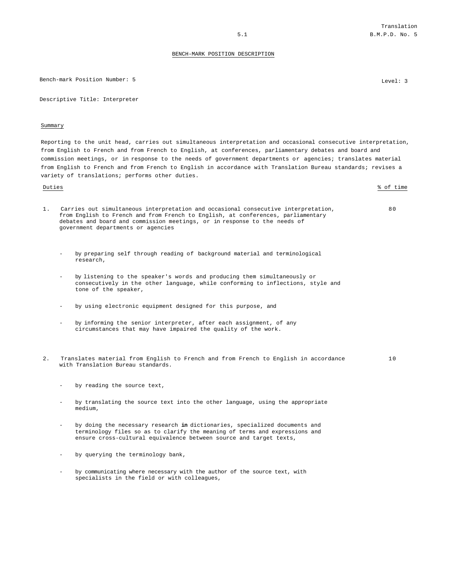Bench-mark Position Number: 5 Level: 3

Descriptive Title: Interpreter

#### Summary

Reporting to the unit head, carries out simultaneous interpretation and occasional consecutive interpretation, from English to French and from French to English, at conferences, parliamentary debates and board and commission meetings, or in response to the needs of government departments or agencies; translates material from English to French and from French to English in accordance with Translation Bureau standards; revises a variety of translations; performs other duties.

Duties % of time 1. Carries out simultaneous interpretation and occasional consecutive interpretation, from English to French and from French to English, at conferences, parliamentary debates and board and commission meetings, or in response to the needs of government departments or agencies 80

- by preparing self through reading of background material and terminological research,
- by listening to the speaker's words and producing them simultaneously or consecutively in the other language, while conforming to inflections, style and tone of the speaker,
- by using electronic equipment designed for this purpose, and
- by informing the senior interpreter, after each assignment, of any circumstances that may have impaired the quality of the work.
- 2. Translates material from English to French and from French to English in accordance with Translation Bureau standards. 10
	- by reading the source text,
	- by translating the source text into the other language, using the appropriate medium,
	- by doing the necessary research **in** dictionaries, specialized documents and terminology files so as to clarify the meaning of terms and expressions and ensure cross-cultural equivalence between source and target texts,
	- by querying the terminology bank,
	- by communicating where necessary with the author of the source text, with specialists in the field or with colleagues,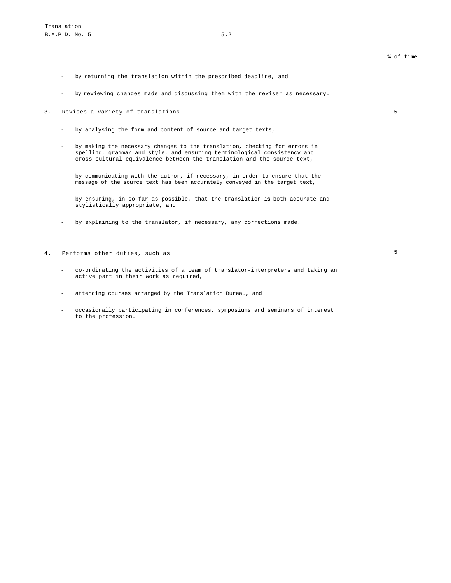- by returning the translation within the prescribed deadline, and
- by reviewing changes made and discussing them with the reviser as necessary.
- 3. Revises a variety of translations 5
	- by analysing the form and content of source and target texts,
	- by making the necessary changes to the translation, checking for errors in spelling, grammar and style, and ensuring terminological consistency and cross-cultural equivalence between the translation and the source text,
	- by communicating with the author, if necessary, in order to ensure that the message of the source text has been accurately conveyed in the target text,
	- by ensuring, in so far as possible, that the translation **is** both accurate and stylistically appropriate, and
	- by explaining to the translator, if necessary, any corrections made.
- 4. Performs other duties, such as 5

- co-ordinating the activities of a team of translator-interpreters and taking an active part in their work as required,
- attending courses arranged by the Translation Bureau, and
- occasionally participating in conferences, symposiums and seminars of interest to the profession.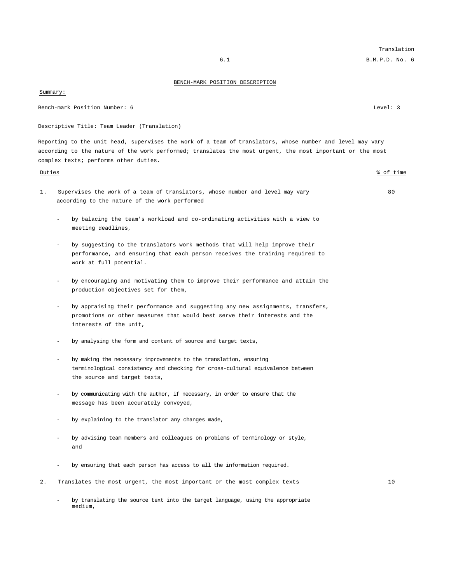Summary:

Bench-mark Position Number: 6 Level: 3

Descriptive Title: Team Leader (Translation)

Reporting to the unit head, supervises the work of a team of translators, whose number and level may vary according to the nature of the work performed; translates the most urgent, the most important or the most complex texts; performs other duties.

- 1. Supervises the work of a team of translators, whose number and level may vary according to the nature of the work performed
	- by balacing the team's workload and co-ordinating activities with a view to meeting deadlines,
	- by suggesting to the translators work methods that will help improve their performance, and ensuring that each person receives the training required to work at full potential.
	- by encouraging and motivating them to improve their performance and attain the production objectives set for them,
	- by appraising their performance and suggesting any new assignments, transfers, promotions or other measures that would best serve their interests and the interests of the unit,
	- by analysing the form and content of source and target texts,
	- by making the necessary improvements to the translation, ensuring terminological consistency and checking for cross-cultural equivalence between the source and target texts,
	- by communicating with the author, if necessary, in order to ensure that the message has been accurately conveyed,
	- by explaining to the translator any changes made,
	- by advising team members and colleagues on problems of terminology or style, and
	- by ensuring that each person has access to all the information required.
- 2. Translates the most urgent, the most important or the most complex texts 10
	- by translating the source text into the target language, using the appropriate medium,

Translation

### Duties % of time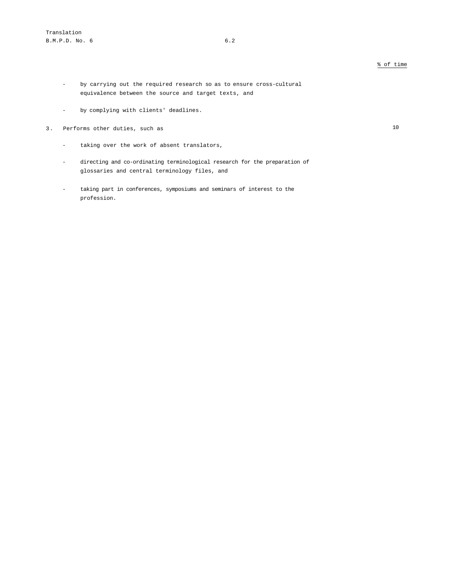- by carrying out the required research so as to ensure cross-cultural equivalence between the source and target texts, and
- by complying with clients' deadlines.
- 3. Performs other duties, such as 10

- taking over the work of absent translators,
- directing and co-ordinating terminological research for the preparation of glossaries and central terminology files, and
- taking part in conferences, symposiums and seminars of interest to the profession.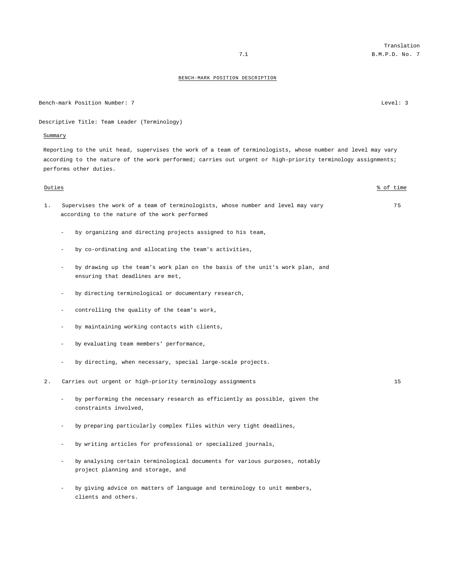Bench-mark Position Number: 7 Level: 3

Descriptive Title: Team Leader (Terminology)

### Summary

Reporting to the unit head, supervises the work of a team of terminologists, whose number and level may vary according to the nature of the work performed; carries out urgent or high-priority terminology assignments; performs other duties.

| Duties |                          |                                                                                                                                   | % of time |
|--------|--------------------------|-----------------------------------------------------------------------------------------------------------------------------------|-----------|
| $1$ .  |                          | Supervises the work of a team of terminologists, whose number and level may vary<br>according to the nature of the work performed | 75        |
|        |                          | by organizing and directing projects assigned to his team,                                                                        |           |
|        | $\overline{\phantom{0}}$ | by co-ordinating and allocating the team's activities,                                                                            |           |
|        |                          | by drawing up the team's work plan on the basis of the unit's work plan, and<br>ensuring that deadlines are met,                  |           |
|        |                          | by directing terminological or documentary research,                                                                              |           |
|        |                          | controlling the quality of the team's work,                                                                                       |           |
|        |                          | by maintaining working contacts with clients,                                                                                     |           |
|        |                          | by evaluating team members' performance,                                                                                          |           |
|        |                          | by directing, when necessary, special large-scale projects.                                                                       |           |
| 2.     |                          | Carries out urgent or high-priority terminology assignments                                                                       | 15        |
|        |                          | by performing the necessary research as efficiently as possible, given the<br>constraints involved,                               |           |
|        |                          | by preparing particularly complex files within very tight deadlines,                                                              |           |
|        |                          | by writing articles for professional or specialized journals,                                                                     |           |
|        |                          | by analysing certain terminological documents for various purposes, notably<br>project planning and storage, and                  |           |

- by giving advice on matters of language and terminology to unit members, clients and others.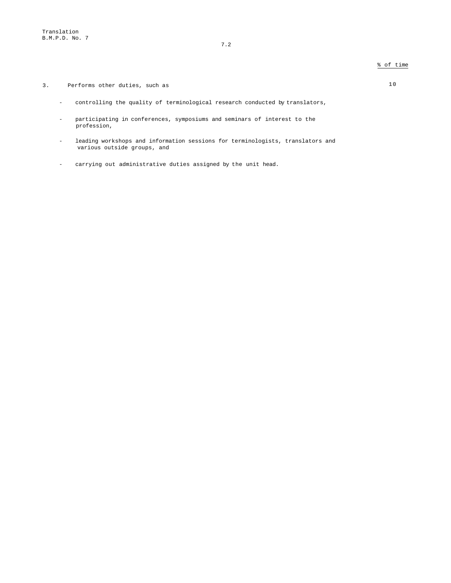3. Performs other duties, such as 10

- controlling the quality of terminological research conducted by translators,
- participating in conferences, symposiums and seminars of interest to the profession,
- leading workshops and information sessions for terminologists, translators and various outside groups, and
- carrying out administrative duties assigned by the unit head.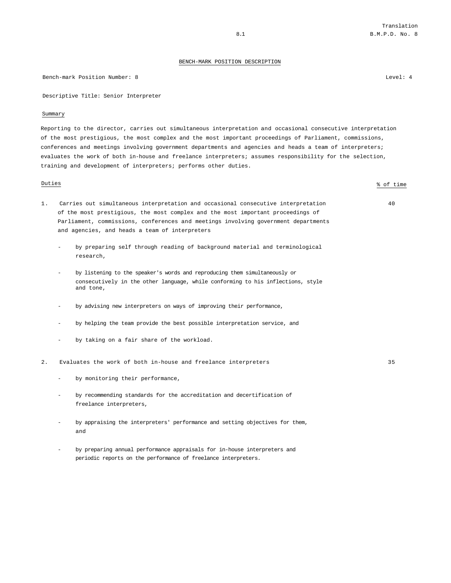Bench-mark Position Number: 8 Level: 4

Descriptive Title: Senior Interpreter

#### Summary

Reporting to the director, carries out simultaneous interpretation and occasional consecutive interpretation of the most prestigious, the most complex and the most important proceedings of Parliament, commissions, conferences and meetings involving government departments and agencies and heads a team of interpreters; evaluates the work of both in-house and freelance interpreters; assumes responsibility for the selection, training and development of interpreters; performs other duties.

Duties % of time

- 1. Carries out simultaneous interpretation and occasional consecutive interpretation of the most prestigious, the most complex and the most important proceedings of Parliament, commissions, conferences and meetings involving government departments and agencies, and heads a team of interpreters
	- by preparing self through reading of background material and terminological research,
	- by listening to the speaker's words and reproducing them simultaneously or consecutively in the other language, while conforming to his inflections, style and tone,
	- by advising new interpreters on ways of improving their performance,
	- by helping the team provide the best possible interpretation service, and
	- by taking on a fair share of the workload.
- 2. Evaluates the work of both in-house and freelance interpreters 35
	- by monitoring their performance,
	- by recommending standards for the accreditation and decertification of freelance interpreters,
	- by appraising the interpreters' performance and setting objectives for them, and
	- by preparing annual performance appraisals for in-house interpreters and periodic reports on the performance of freelance interpreters.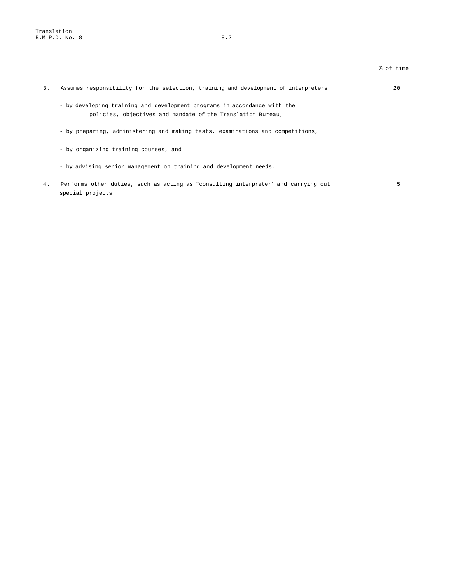| $\overline{3}$ . | Assumes responsibility for the selection, training and development of interpreters                                                      | 20 |
|------------------|-----------------------------------------------------------------------------------------------------------------------------------------|----|
|                  | - by developing training and development programs in accordance with the<br>policies, objectives and mandate of the Translation Bureau, |    |
|                  | - by preparing, administering and making tests, examinations and competitions,                                                          |    |
|                  | - by organizing training courses, and                                                                                                   |    |
|                  | - by advising senior management on training and development needs.                                                                      |    |
| 4.               | Performs other duties, such as acting as "consulting interpreter" and carrying out<br>special projects.                                 | 5  |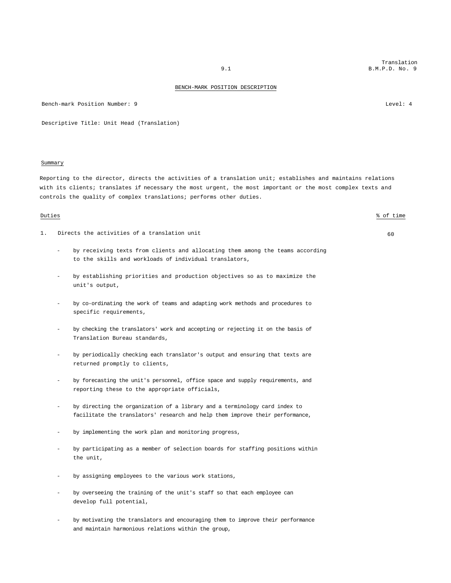Bench-mark Position Number: 9 Level: 4

Descriptive Title: Unit Head (Translation)

#### Summary

Reporting to the director, directs the activities of a translation unit; establishes and maintains relations with its clients; translates if necessary the most urgent, the most important or the most complex texts and controls the quality of complex translations; performs other duties.

- 1. Directs the activities of a translation unit  $\begin{array}{ccc} & 60 & 60 \\ & 60 & 60 & 60 \\ \end{array}$ 
	- by receiving texts from clients and allocating them among the teams according to the skills and workloads of individual translators,
	- by establishing priorities and production objectives so as to maximize the unit's output,
	- by co-ordinating the work of teams and adapting work methods and procedures to specific requirements,
	- by checking the translators' work and accepting or rejecting it on the basis of Translation Bureau standards,
	- by periodically checking each translator's output and ensuring that texts are returned promptly to clients,
	- by forecasting the unit's personnel, office space and supply requirements, and reporting these to the appropriate officials,
	- by directing the organization of a library and a terminology card index to facilitate the translators' research and help them improve their performance,
	- by implementing the work plan and monitoring progress,
	- by participating as a member of selection boards for staffing positions within the unit,
	- by assigning employees to the various work stations,
	- by overseeing the training of the unit's staff so that each employee can develop full potential,
	- by motivating the translators and encouraging them to improve their performance and maintain harmonious relations within the group,

Duties % of time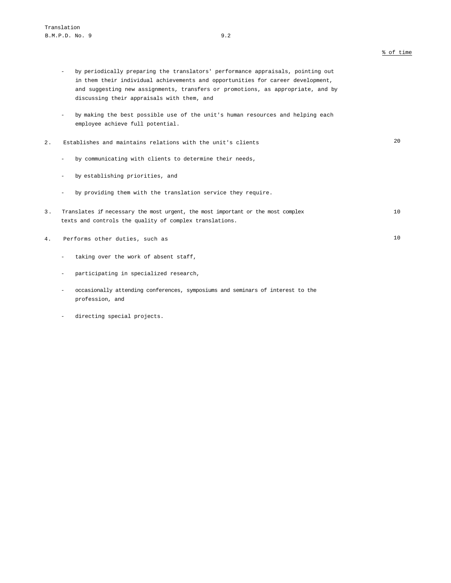- by periodically preparing the translators' performance appraisals, pointing out in them their individual achievements and opportunities for career development, and suggesting new assignments, transfers or promotions, as appropriate, and by discussing their appraisals with them, and
- by making the best possible use of the unit's human resources and helping each employee achieve full potential.

# 2. Establishes and maintains relations with the unit's clients 20

- by communicating with clients to determine their needs,
- by establishing priorities, and
- by providing them with the translation service they require.
- 3. Translates if necessary the most urgent, the most important or the most complex texts and controls the quality of complex translations. 10
- 4. Performs other duties, such as 10
	- taking over the work of absent staff,
	- participating in specialized research,
	- occasionally attending conferences, symposiums and seminars of interest to the profession, and
	- directing special projects.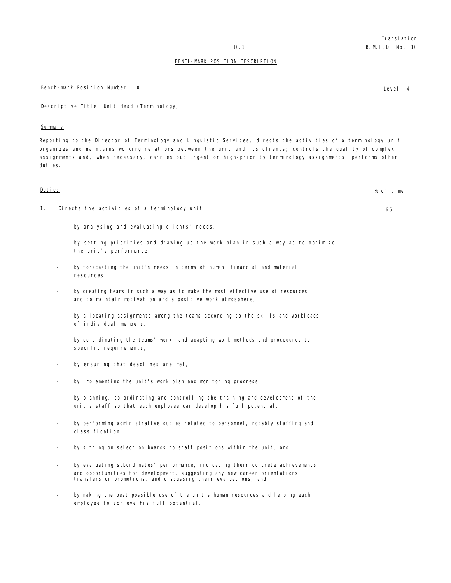Bench-mark Position Number: 10 **Level: 4** Level: 4

Descriptive Title: Unit Head (Terminology)

### Summary

Reporting to the Director of Terminology and Linguistic Services, directs the activities of a terminology unit; organizes and maintains working relations between the unit and its clients; controls the quality of complex assignments and, when necessary, carries out urgent or high-priority terminology assignments; performs other duties.

# Duties % of time 1. Directs the activities of a terminology unit 65 - by analysing and evaluating clients' needs, by setting priorities and drawing up the work plan in such a way as to optimize the unit's performance, by forecasting the unit's needs in terms of human, financial and material resources; by creating teams in such a way as to make the most effective use of resources and to maintain motivation and a positive work atmosphere, by allocating assignments among the teams according to the skills and workloads of individual members, by co-ordinating the teams' work, and adapting work methods and procedures to specific requirements, by ensuring that deadlines are met, by implementing the unit's work plan and monitoring progress, by planning, co-ordinating and controlling the training and development of the unit's staff so that each employee can develop his full potential, by performing administrative duties related to personnel, notably staffing and classification, by sitting on selection boards to staff positions within the unit, and by evaluating subordinates' performance, indicating their concrete achievements and opportunities for development, suggesting any new career orientations, transfers or promotions, and discussing their evaluations, and by making the best possible use of the unit's human resources and helping each employee to achieve his full potential.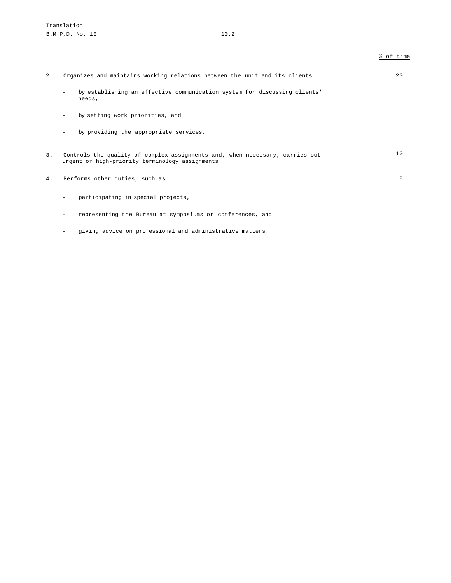| Organizes and maintains working relations between the unit and its clients |  |  |  |  |  |  | 2.0 |
|----------------------------------------------------------------------------|--|--|--|--|--|--|-----|
|----------------------------------------------------------------------------|--|--|--|--|--|--|-----|

- by establishing an effective communication system for discussing clients' needs,
- by setting work priorities, and
- by providing the appropriate services.
- 3. Controls the quality of complex assignments and, when necessary, carries out urgent or high-priority terminology assignments. 10
- 4. Performs other duties, such as 5
	- participating in special projects,
	- representing the Bureau at symposiums or conferences, and
	- giving advice on professional and administrative matters.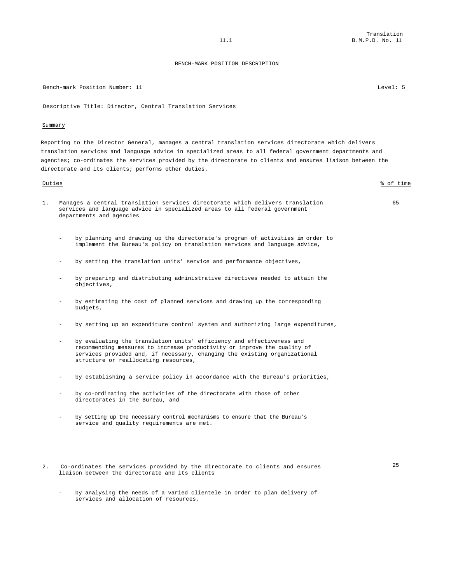Bench-mark Position Number: 11 Channel Control of the Second Level: 5

Descriptive Title: Director, Central Translation Services

#### Summary

Reporting to the Director General, manages a central translation services directorate which delivers translation services and language advice in specialized areas to all federal government departments and agencies; co-ordinates the services provided by the directorate to clients and ensures liaison between the directorate and its clients; performs other duties.

# Duties % of time 1. Manages a central translation services directorate which delivers translation services and language advice in specialized areas to all federal government departments and agencies - by planning and drawing up the directorate's program of activities **in** order to implement the Bureau's policy on translation services and language advice,

- by setting the translation units' service and performance objectives,
- by preparing and distributing administrative directives needed to attain the objectives,
- by estimating the cost of planned services and drawing up the corresponding budgets,
- by setting up an expenditure control system and authorizing large expenditures,
- by evaluating the translation units' efficiency and effectiveness and recommending measures to increase productivity or improve the quality of services provided and, if necessary, changing the existing organizational structure or reallocating resources,
- by establishing a service policy in accordance with the Bureau's priorities,
- by co-ordinating the activities of the directorate with those of other directorates in the Bureau, and
- by setting up the necessary control mechanisms to ensure that the Bureau's service and quality requirements are met.
- 2. Co-ordinates the services provided by the directorate to clients and ensures liaison between the directorate and its clients

25

by analysing the needs of a varied clientele in order to plan delivery of services and allocation of resources,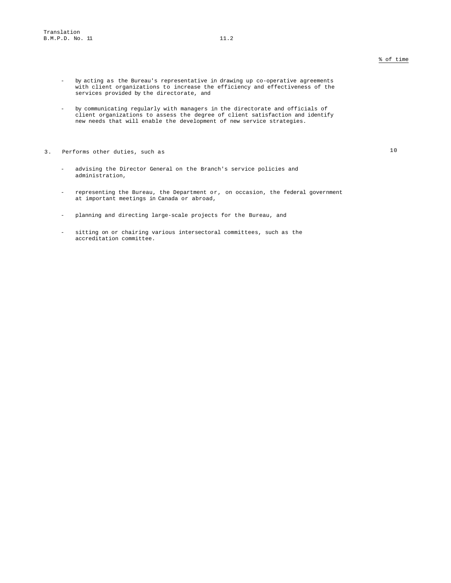- by acting as the Bureau's representative in drawing up co-operative agreements with client organizations to increase the efficiency and effectiveness of the services provided by the directorate, and
- by communicating regularly with managers in the directorate and officials of client organizations to assess the degree of client satisfaction and identify new needs that will enable the development of new service strategies.
- 3. Performs other duties, such as 10
	- advising the Director General on the Branch's service policies and administration,
	- representing the Bureau, the Department or, on occasion, the federal government at important meetings in Canada or abroad,
	- planning and directing large-scale projects for the Bureau, and
	- sitting on or chairing various intersectoral committees, such as the accreditation committee.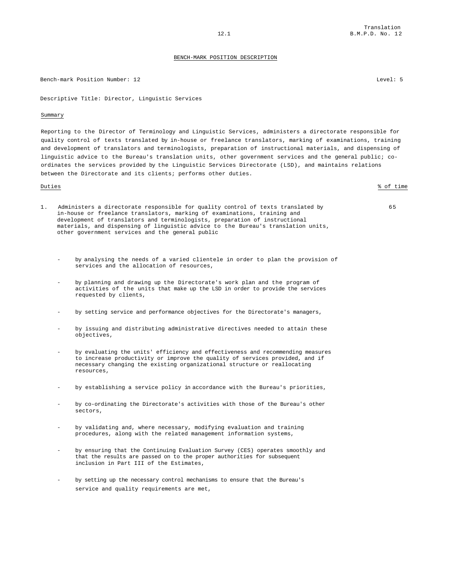#### Bench-mark Position Number: 12 Level: 5

Descriptive Title: Director, Linguistic Services

### Summary

Reporting to the Director of Terminology and Linguistic Services, administers a directorate responsible for quality control of texts translated by in-house or freelance translators, marking of examinations, training and development of translators and terminologists, preparation of instructional materials, and dispensing of linguistic advice to the Bureau's translation units, other government services and the general public; coordinates the services provided by the Linguistic Services Directorate (LSD), and maintains relations between the Directorate and its clients; performs other duties.

Duties % of time

- 1. Administers a directorate responsible for quality control of texts translated by in-house or freelance translators, marking of examinations, training and development of translators and terminologists, preparation of instructional materials, and dispensing of linguistic advice to the Bureau's translation units, other government services and the general public
	- by analysing the needs of a varied clientele in order to plan the provision of services and the allocation of resources,
	- by planning and drawing up the Directorate's work plan and the program of activities of the units that make up the LSD in order to provide the services requested by clients,
	- by setting service and performance objectives for the Directorate's managers,
	- by issuing and distributing administrative directives needed to attain these objectives,
	- by evaluating the units' efficiency and effectiveness and recommending measures to increase productivity or improve the quality of services provided, and if necessary changing the existing organizational structure or reallocating resources,
	- by establishing a service policy in accordance with the Bureau's priorities,
	- by co-ordinating the Directorate's activities with those of the Bureau's other sectors,
	- by validating and, where necessary, modifying evaluation and training procedures, along with the related management information systems,
	- by ensuring that the Continuing Evaluation Survey (CES) operates smoothly and that the results are passed on to the proper authorities for subsequent inclusion in Part III of the Estimates,
	- by setting up the necessary control mechanisms to ensure that the Bureau's service and quality requirements are met,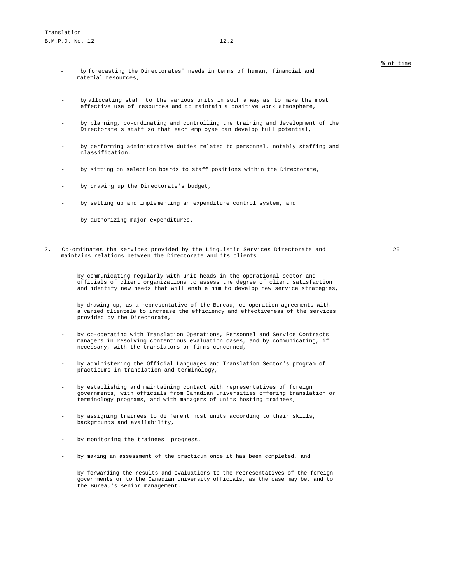- by forecasting the Directorates' needs in terms of human, financial and material resources,
- by allocating staff to the various units in such a way as to make the most effective use of resources and to maintain a positive work atmosphere,
- by planning, co-ordinating and controlling the training and development of the Directorate's staff so that each employee can develop full potential,
- by performing administrative duties related to personnel, notably staffing and classification,
- by sitting on selection boards to staff positions within the Directorate,
- by drawing up the Directorate's budget,
- by setting up and implementing an expenditure control system, and
- by authorizing major expenditures.
- 2. Co-ordinates the services provided by the Linguistic Services Directorate and maintains relations between the Directorate and its clients

25

- by communicating regularly with unit heads in the operational sector and officials of client organizations to assess the degree of client satisfaction and identify new needs that will enable him to develop new service strategies,
- by drawing up, as a representative of the Bureau, co-operation agreements with a varied clientele to increase the efficiency and effectiveness of the services provided by the Directorate,
- by co-operating with Translation Operations, Personnel and Service Contracts managers in resolving contentious evaluation cases, and by communicating, if necessary, with the translators or firms concerned,
- by administering the Official Languages and Translation Sector's program of practicums in translation and terminology,
- by establishing and maintaining contact with representatives of foreign governments, with officials from Canadian universities offering translation or terminology programs, and with managers of units hosting trainees,
- by assigning trainees to different host units according to their skills, backgrounds and availability,
- by monitoring the trainees' progress,
- by making an assessment of the practicum once it has been completed, and
- by forwarding the results and evaluations to the representatives of the foreign governments or to the Canadian university officials, as the case may be, and to the Bureau's senior management.

% of time